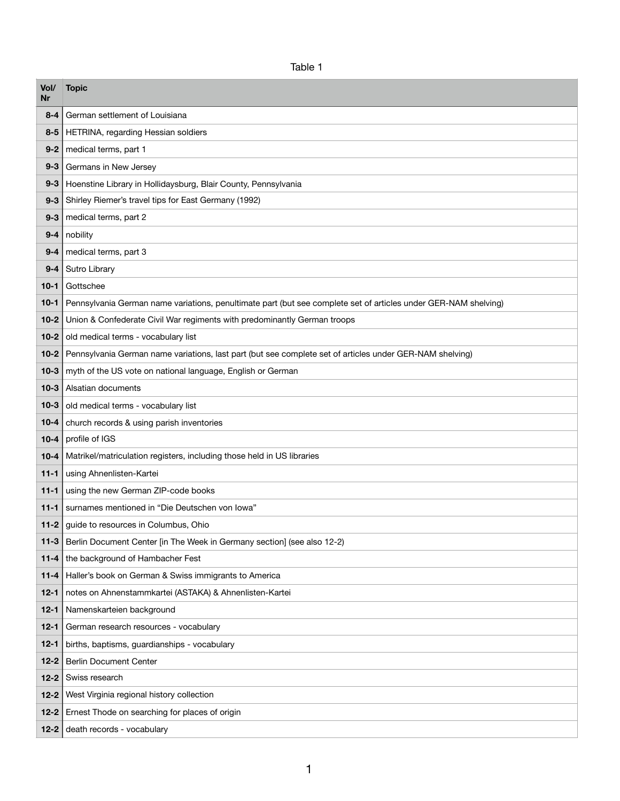Table 1

| Vol/<br>Nr | <b>Topic</b>                                                                                                    |
|------------|-----------------------------------------------------------------------------------------------------------------|
| $8 - 4$    | German settlement of Louisiana                                                                                  |
| $8 - 5$    | HETRINA, regarding Hessian soldiers                                                                             |
| $9 - 2$    | medical terms, part 1                                                                                           |
| $9 - 3$    | Germans in New Jersey                                                                                           |
| $9 - 3$    | Hoenstine Library in Hollidaysburg, Blair County, Pennsylvania                                                  |
| $9 - 3$    | Shirley Riemer's travel tips for East Germany (1992)                                                            |
| $9 - 3$    | medical terms, part 2                                                                                           |
| $9 - 4$    | nobility                                                                                                        |
| $9 - 4$    | medical terms, part 3                                                                                           |
| $9 - 4$    | Sutro Library                                                                                                   |
| $10 - 1$   | Gottschee                                                                                                       |
| $10 - 1$   | Pennsylvania German name variations, penultimate part (but see complete set of articles under GER-NAM shelving) |
| $10 - 2$   | Union & Confederate Civil War regiments with predominantly German troops                                        |
| $10-2$     | old medical terms - vocabulary list                                                                             |
| $10 - 2$   | Pennsylvania German name variations, last part (but see complete set of articles under GER-NAM shelving)        |
| $10 - 3$   | myth of the US vote on national language, English or German                                                     |
| $10-3$     | Alsatian documents                                                                                              |
| $10 - 3$   | old medical terms - vocabulary list                                                                             |
| $10 - 4$   | church records & using parish inventories                                                                       |
| $10 - 4$   | profile of IGS                                                                                                  |
| $10 - 4$   | Matrikel/matriculation registers, including those held in US libraries                                          |
| $11 - 1$   | using Ahnenlisten-Kartei                                                                                        |
| $11 - 1$   | using the new German ZIP-code books                                                                             |
| $11 - 1$   | surnames mentioned in "Die Deutschen von Iowa"                                                                  |
| $11 - 2$   | guide to resources in Columbus, Ohio                                                                            |
| $11 - 3$   | Berlin Document Center [in The Week in Germany section] (see also 12-2)                                         |
| $11 - 4$   | the background of Hambacher Fest                                                                                |
| $11 - 4$   | Haller's book on German & Swiss immigrants to America                                                           |
| $12 - 1$   | notes on Ahnenstammkartei (ASTAKA) & Ahnenlisten-Kartei                                                         |
| $12 - 1$   | Namenskarteien background                                                                                       |
| $12 - 1$   | German research resources - vocabulary                                                                          |
| $12 - 1$   | births, baptisms, guardianships - vocabulary                                                                    |
| $12 - 2$   | <b>Berlin Document Center</b>                                                                                   |
| $12 - 2$   | Swiss research                                                                                                  |
| $12 - 2$   | West Virginia regional history collection                                                                       |
| $12 - 2$   | Ernest Thode on searching for places of origin                                                                  |
| $12 - 2$   | death records - vocabulary                                                                                      |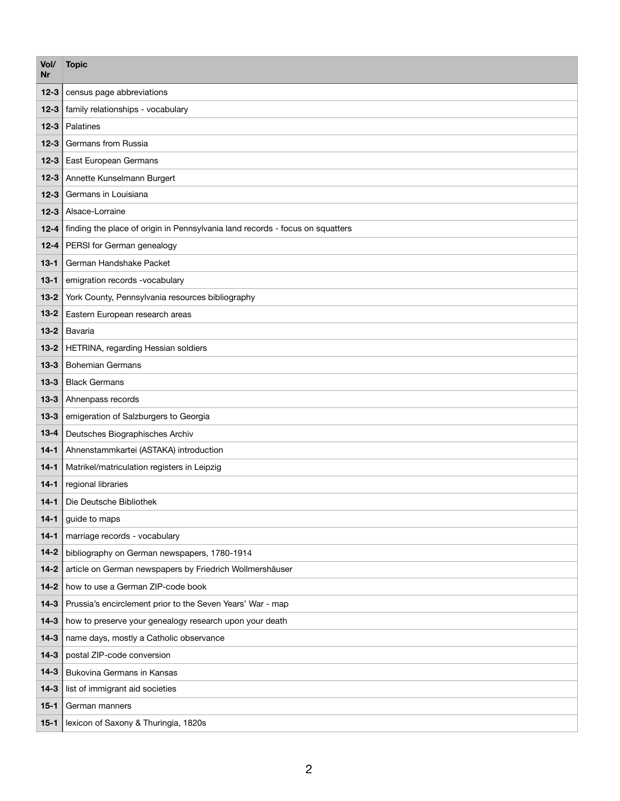| Vol/<br>Nr | <b>Topic</b>                                                                  |
|------------|-------------------------------------------------------------------------------|
| $12 - 3$   | census page abbreviations                                                     |
| $12 - 3$   | family relationships - vocabulary                                             |
| $12 - 3$   | Palatines                                                                     |
| $12 - 3$   | Germans from Russia                                                           |
| $12 - 3$   | East European Germans                                                         |
| $12 - 3$   | Annette Kunselmann Burgert                                                    |
| $12 - 3$   | Germans in Louisiana                                                          |
| $12 - 3$   | Alsace-Lorraine                                                               |
| $12 - 4$   | finding the place of origin in Pennsylvania land records - focus on squatters |
| $12 - 4$   | PERSI for German genealogy                                                    |
| $13 - 1$   | German Handshake Packet                                                       |
| $13 - 1$   | emigration records -vocabulary                                                |
| $13 - 2$   | York County, Pennsylvania resources bibliography                              |
| $13 - 2$   | Eastern European research areas                                               |
| $13 - 2$   | Bavaria                                                                       |
| $13 - 2$   | HETRINA, regarding Hessian soldiers                                           |
| $13 - 3$   | <b>Bohemian Germans</b>                                                       |
| $13 - 3$   | <b>Black Germans</b>                                                          |
| $13 - 3$   | Ahnenpass records                                                             |
| $13 - 3$   | emigeration of Salzburgers to Georgia                                         |
| $13 - 4$   | Deutsches Biographisches Archiv                                               |
| $14 - 1$   | Ahnenstammkartei (ASTAKA) introduction                                        |
| $14 - 1$   | Matrikel/matriculation registers in Leipzig                                   |
| $14 - 1$   | regional libraries                                                            |
| $14 - 1$   | Die Deutsche Bibliothek                                                       |
| $14 - 1$   | guide to maps                                                                 |
| $14 - 1$   | marriage records - vocabulary                                                 |
| $14 - 2$   | bibliography on German newspapers, 1780-1914                                  |
| $14 - 2$   | article on German newspapers by Friedrich Wollmershäuser                      |
| $14 - 2$   | how to use a German ZIP-code book                                             |
| $14 - 3$   | Prussia's encirclement prior to the Seven Years' War - map                    |
| $14-3$     | how to preserve your genealogy research upon your death                       |
| $14 - 3$   | name days, mostly a Catholic observance                                       |
| $14 - 3$   | postal ZIP-code conversion                                                    |
| $14 - 3$   | Bukovina Germans in Kansas                                                    |
| $14 - 3$   | list of immigrant aid societies                                               |
| $15 - 1$   | German manners                                                                |
| $15 - 1$   | lexicon of Saxony & Thuringia, 1820s                                          |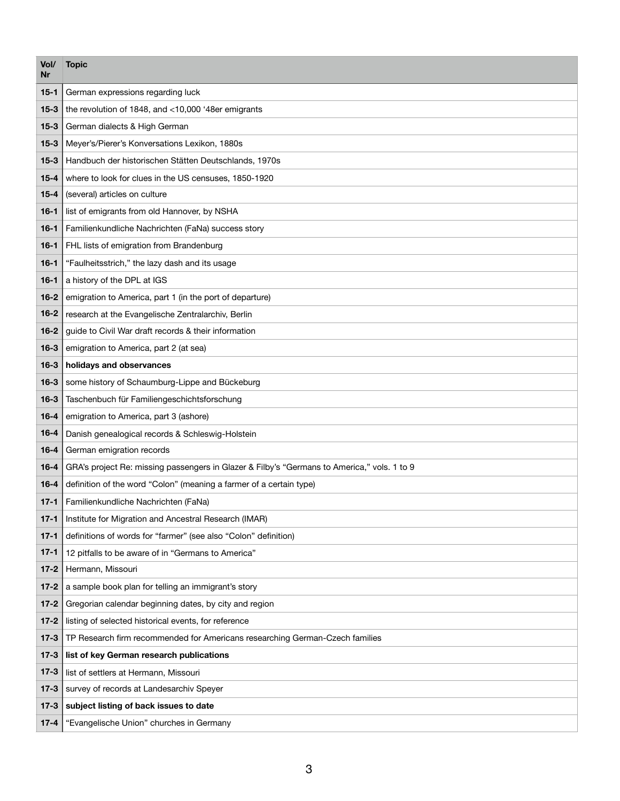| Vol/<br>Nr | <b>Topic</b>                                                                                |
|------------|---------------------------------------------------------------------------------------------|
| $15 - 1$   | German expressions regarding luck                                                           |
| $15 - 3$   | the revolution of 1848, and <10,000 '48er emigrants                                         |
| $15 - 3$   | German dialects & High German                                                               |
| $15 - 3$   | Meyer's/Pierer's Konversations Lexikon, 1880s                                               |
| $15 - 3$   | Handbuch der historischen Stätten Deutschlands, 1970s                                       |
| $15 - 4$   | where to look for clues in the US censuses, 1850-1920                                       |
| $15 - 4$   | (several) articles on culture                                                               |
| $16 - 1$   | list of emigrants from old Hannover, by NSHA                                                |
| $16 - 1$   | Familienkundliche Nachrichten (FaNa) success story                                          |
| $16 - 1$   | FHL lists of emigration from Brandenburg                                                    |
| $16 - 1$   | "Faulheitsstrich," the lazy dash and its usage                                              |
| $16 - 1$   | a history of the DPL at IGS                                                                 |
| $16 - 2$   | emigration to America, part 1 (in the port of departure)                                    |
| $16 - 2$   | research at the Evangelische Zentralarchiv, Berlin                                          |
| $16 - 2$   | guide to Civil War draft records & their information                                        |
| $16 - 3$   | emigration to America, part 2 (at sea)                                                      |
| $16 - 3$   | holidays and observances                                                                    |
| $16 - 3$   | some history of Schaumburg-Lippe and Bückeburg                                              |
| $16 - 3$   | Taschenbuch für Familiengeschichtsforschung                                                 |
| $16 - 4$   | emigration to America, part 3 (ashore)                                                      |
| $16 - 4$   | Danish genealogical records & Schleswig-Holstein                                            |
| $16 - 4$   | German emigration records                                                                   |
| $16 - 4$   | GRA's project Re: missing passengers in Glazer & Filby's "Germans to America," vols. 1 to 9 |
| $16 - 4$   | definition of the word "Colon" (meaning a farmer of a certain type)                         |
| $17-1$     | Familienkundliche Nachrichten (FaNa)                                                        |
| $17 - 1$   | Institute for Migration and Ancestral Research (IMAR)                                       |
| $17 - 1$   | definitions of words for "farmer" (see also "Colon" definition)                             |
| $17 - 1$   | 12 pitfalls to be aware of in "Germans to America"                                          |
| $17 - 2$   | Hermann, Missouri                                                                           |
| $17 - 2$   | a sample book plan for telling an immigrant's story                                         |
| $17 - 2$   | Gregorian calendar beginning dates, by city and region                                      |
| $17 - 2$   | listing of selected historical events, for reference                                        |
| $17-3$     | TP Research firm recommended for Americans researching German-Czech families                |
| $17-3$     | list of key German research publications                                                    |
| $17 - 3$   | list of settlers at Hermann, Missouri                                                       |
| $17-3$     | survey of records at Landesarchiv Speyer                                                    |
| $17-3$     | subject listing of back issues to date                                                      |
| $17 - 4$   | "Evangelische Union" churches in Germany                                                    |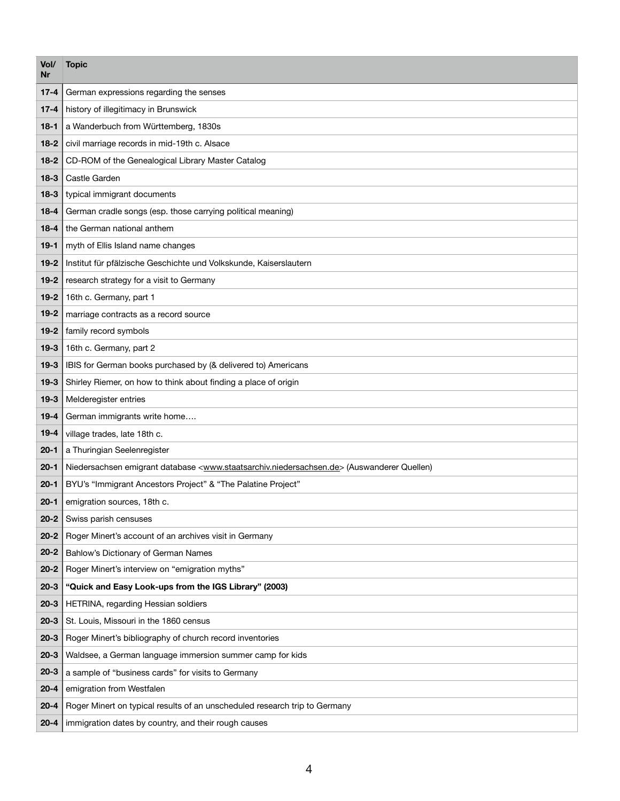| Vol/<br>Nr | <b>Topic</b>                                                                                                                  |
|------------|-------------------------------------------------------------------------------------------------------------------------------|
| $17 - 4$   | German expressions regarding the senses                                                                                       |
| $17 - 4$   | history of illegitimacy in Brunswick                                                                                          |
| $18-1$     | a Wanderbuch from Württemberg, 1830s                                                                                          |
| $18-2$     | civil marriage records in mid-19th c. Alsace                                                                                  |
| $18-2$     | CD-ROM of the Genealogical Library Master Catalog                                                                             |
| $18 - 3$   | Castle Garden                                                                                                                 |
| $18-3$     | typical immigrant documents                                                                                                   |
| $18 - 4$   | German cradle songs (esp. those carrying political meaning)                                                                   |
| $18 - 4$   | the German national anthem                                                                                                    |
| $19-1$     | myth of Ellis Island name changes                                                                                             |
| $19 - 2$   | Institut für pfälzische Geschichte und Volkskunde, Kaiserslautern                                                             |
| $19 - 2$   | research strategy for a visit to Germany                                                                                      |
| $19 - 2$   | 16th c. Germany, part 1                                                                                                       |
| $19 - 2$   | marriage contracts as a record source                                                                                         |
| $19 - 2$   | family record symbols                                                                                                         |
| $19 - 3$   | 16th c. Germany, part 2                                                                                                       |
| $19-3$     | IBIS for German books purchased by (& delivered to) Americans                                                                 |
| $19-3$     | Shirley Riemer, on how to think about finding a place of origin                                                               |
| $19-3$     | Melderegister entries                                                                                                         |
| $19 - 4$   | German immigrants write home                                                                                                  |
| $19 - 4$   | village trades, late 18th c.                                                                                                  |
| $20 - 1$   | a Thuringian Seelenregister                                                                                                   |
| $20 - 1$   | Niedersachsen emigrant database <www.staatsarchiv.niedersachsen.de> (Auswanderer Quellen)</www.staatsarchiv.niedersachsen.de> |
| $20 - 1$   | BYU's "Immigrant Ancestors Project" & "The Palatine Project"                                                                  |
| $20 - 1$   | emigration sources, 18th c.                                                                                                   |
| $20 - 2$   | Swiss parish censuses                                                                                                         |
| $20 - 2$   | Roger Minert's account of an archives visit in Germany                                                                        |
| $20 - 2$   | Bahlow's Dictionary of German Names                                                                                           |
| $20 - 2$   | Roger Minert's interview on "emigration myths"                                                                                |
| $20 - 3$   | "Quick and Easy Look-ups from the IGS Library" (2003)                                                                         |
| $20 - 3$   | HETRINA, regarding Hessian soldiers                                                                                           |
| $20 - 3$   | St. Louis, Missouri in the 1860 census                                                                                        |
| $20 - 3$   | Roger Minert's bibliography of church record inventories                                                                      |
| $20 - 3$   | Waldsee, a German language immersion summer camp for kids                                                                     |
| $20 - 3$   | a sample of "business cards" for visits to Germany                                                                            |
| $20 - 4$   | emigration from Westfalen                                                                                                     |
| $20 - 4$   | Roger Minert on typical results of an unscheduled research trip to Germany                                                    |
| $20 - 4$   | immigration dates by country, and their rough causes                                                                          |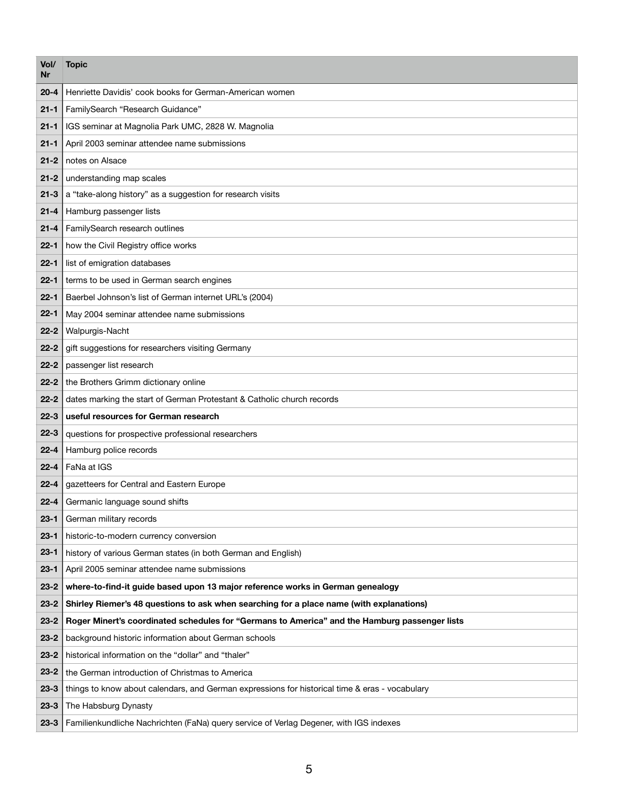| Vol/<br>Nr | <b>Topic</b>                                                                                   |
|------------|------------------------------------------------------------------------------------------------|
| $20 - 4$   | Henriette Davidis' cook books for German-American women                                        |
| $21 - 1$   | FamilySearch "Research Guidance"                                                               |
| $21 - 1$   | IGS seminar at Magnolia Park UMC, 2828 W. Magnolia                                             |
| $21 - 1$   | April 2003 seminar attendee name submissions                                                   |
| $21 - 2$   | notes on Alsace                                                                                |
| $21 - 2$   | understanding map scales                                                                       |
| $21 - 3$   | a "take-along history" as a suggestion for research visits                                     |
| $21 - 4$   | Hamburg passenger lists                                                                        |
| $21 - 4$   | FamilySearch research outlines                                                                 |
| $22 - 1$   | how the Civil Registry office works                                                            |
| $22 - 1$   | list of emigration databases                                                                   |
| $22 - 1$   | terms to be used in German search engines                                                      |
| $22 - 1$   | Baerbel Johnson's list of German internet URL's (2004)                                         |
| $22 - 1$   | May 2004 seminar attendee name submissions                                                     |
| $22 - 2$   | Walpurgis-Nacht                                                                                |
| $22 - 2$   | gift suggestions for researchers visiting Germany                                              |
| $22 - 2$   | passenger list research                                                                        |
| $22 - 2$   | the Brothers Grimm dictionary online                                                           |
| $22 - 2$   | dates marking the start of German Protestant & Catholic church records                         |
| $22 - 3$   | useful resources for German research                                                           |
| $22 - 3$   | questions for prospective professional researchers                                             |
| $22 - 4$   | Hamburg police records                                                                         |
| $22 - 4$   | FaNa at IGS                                                                                    |
| $22 - 4$   | gazetteers for Central and Eastern Europe                                                      |
| $22 - 4$   | Germanic language sound shifts                                                                 |
| $23 - 1$   | German military records                                                                        |
| $23 - 1$   | historic-to-modern currency conversion                                                         |
| $23 - 1$   | history of various German states (in both German and English)                                  |
| $23 - 1$   | April 2005 seminar attendee name submissions                                                   |
| $23 - 2$   | where-to-find-it guide based upon 13 major reference works in German genealogy                 |
| $23 - 2$   | Shirley Riemer's 48 questions to ask when searching for a place name (with explanations)       |
| $23 - 2$   | Roger Minert's coordinated schedules for "Germans to America" and the Hamburg passenger lists  |
| $23 - 2$   | background historic information about German schools                                           |
| $23 - 2$   | historical information on the "dollar" and "thaler"                                            |
| $23 - 2$   | the German introduction of Christmas to America                                                |
| $23 - 3$   | things to know about calendars, and German expressions for historical time & eras - vocabulary |
| $23 - 3$   | The Habsburg Dynasty                                                                           |
| $23 - 3$   | Familienkundliche Nachrichten (FaNa) query service of Verlag Degener, with IGS indexes         |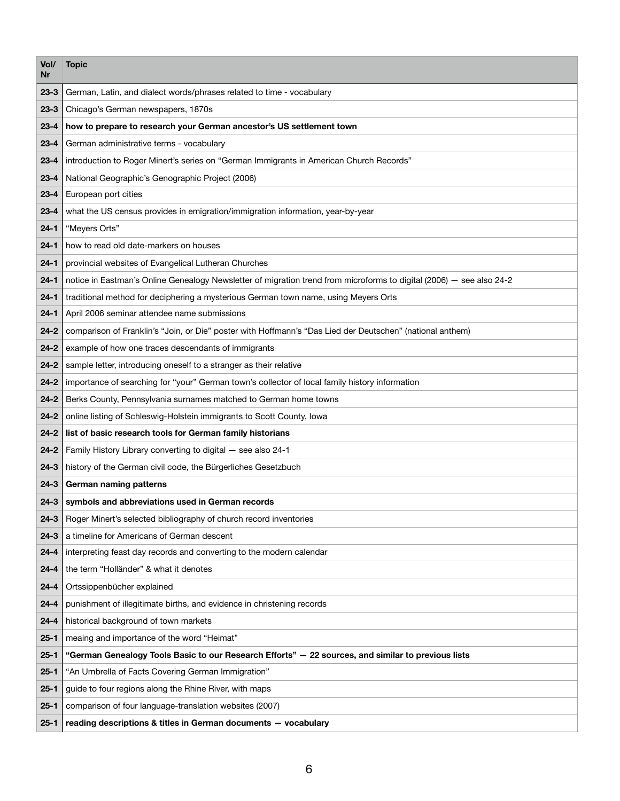| Vol/<br>Nr | <b>Topic</b>                                                                                                         |
|------------|----------------------------------------------------------------------------------------------------------------------|
| $23 - 3$   | German, Latin, and dialect words/phrases related to time - vocabulary                                                |
| $23 - 3$   | Chicago's German newspapers, 1870s                                                                                   |
| $23 - 4$   | how to prepare to research your German ancestor's US settlement town                                                 |
| $23 - 4$   | German administrative terms - vocabulary                                                                             |
| $23 - 4$   | introduction to Roger Minert's series on "German Immigrants in American Church Records"                              |
| $23 - 4$   | National Geographic's Genographic Project (2006)                                                                     |
| $23 - 4$   | European port cities                                                                                                 |
| $23 - 4$   | what the US census provides in emigration/immigration information, year-by-year                                      |
| $24 - 1$   | "Meyers Orts"                                                                                                        |
| $24 - 1$   | how to read old date-markers on houses                                                                               |
| $24 - 1$   | provincial websites of Evangelical Lutheran Churches                                                                 |
| $24 - 1$   | notice in Eastman's Online Genealogy Newsletter of migration trend from microforms to digital (2006) - see also 24-2 |
| $24 - 1$   | traditional method for deciphering a mysterious German town name, using Meyers Orts                                  |
| $24 - 1$   | April 2006 seminar attendee name submissions                                                                         |
| $24 - 2$   | comparison of Franklin's "Join, or Die" poster with Hoffmann's "Das Lied der Deutschen" (national anthem)            |
| $24 - 2$   | example of how one traces descendants of immigrants                                                                  |
| $24 - 2$   | sample letter, introducing oneself to a stranger as their relative                                                   |
| $24 - 2$   | importance of searching for "your" German town's collector of local family history information                       |
| $24 - 2$   | Berks County, Pennsylvania surnames matched to German home towns                                                     |
| $24 - 2$   | online listing of Schleswig-Holstein immigrants to Scott County, Iowa                                                |
| $24 - 2$   | list of basic research tools for German family historians                                                            |
| $24 - 2$   | Family History Library converting to digital - see also 24-1                                                         |
| $24 - 3$   | history of the German civil code, the Bürgerliches Gesetzbuch                                                        |
| $24 - 3$   | German naming patterns                                                                                               |
| $24 - 3$   | symbols and abbreviations used in German records                                                                     |
| $24 - 3$   | Roger Minert's selected bibliography of church record inventories                                                    |
| $24 - 3$   | a timeline for Americans of German descent                                                                           |
| $24 - 4$   | interpreting feast day records and converting to the modern calendar                                                 |
| $24 - 4$   | the term "Holländer" & what it denotes                                                                               |
| $24 - 4$   | Ortssippenbücher explained                                                                                           |
| $24 - 4$   | punishment of illegitimate births, and evidence in christening records                                               |
| $24 - 4$   | historical background of town markets                                                                                |
| $25 - 1$   | meaing and importance of the word "Heimat"                                                                           |
| $25 - 1$   | "German Genealogy Tools Basic to our Research Efforts" - 22 sources, and similar to previous lists                   |
| $25 - 1$   | "An Umbrella of Facts Covering German Immigration"                                                                   |
| $25 - 1$   | guide to four regions along the Rhine River, with maps                                                               |
| $25 - 1$   | comparison of four language-translation websites (2007)                                                              |
| $25 - 1$   | reading descriptions & titles in German documents - vocabulary                                                       |